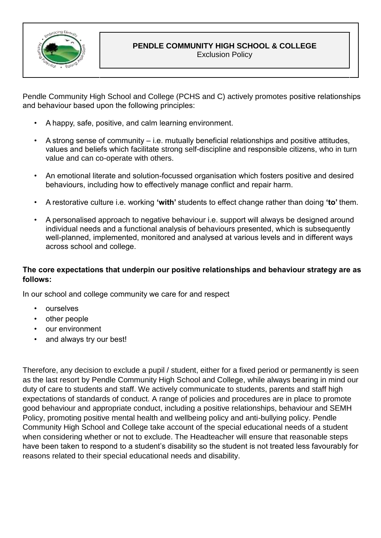

Exclusion Policy

Pendle Community High School and College (PCHS and C) actively promotes positive relationships and behaviour based upon the following principles:

- A happy, safe, positive, and calm learning environment.
- A strong sense of community i.e. mutually beneficial relationships and positive attitudes, values and beliefs which facilitate strong self-discipline and responsible citizens, who in turn value and can co-operate with others.
- An emotional literate and solution-focussed organisation which fosters positive and desired behaviours, including how to effectively manage conflict and repair harm.
- A restorative culture i.e. working **'with'** students to effect change rather than doing **'to'** them.
- A personalised approach to negative behaviour i.e. support will always be designed around individual needs and a functional analysis of behaviours presented, which is subsequently well-planned, implemented, monitored and analysed at various levels and in different ways across school and college.

### **The core expectations that underpin our positive relationships and behaviour strategy are as follows:**

In our school and college community we care for and respect

- **ourselves**
- other people
- our environment
- and always try our best!

Therefore, any decision to exclude a pupil / student, either for a fixed period or permanently is seen as the last resort by Pendle Community High School and College, while always bearing in mind our duty of care to students and staff. We actively communicate to students, parents and staff high expectations of standards of conduct. A range of policies and procedures are in place to promote good behaviour and appropriate conduct, including a positive relationships, behaviour and SEMH Policy, promoting positive mental health and wellbeing policy and anti-bullying policy. Pendle Community High School and College take account of the special educational needs of a student when considering whether or not to exclude. The Headteacher will ensure that reasonable steps have been taken to respond to a student's disability so the student is not treated less favourably for reasons related to their special educational needs and disability.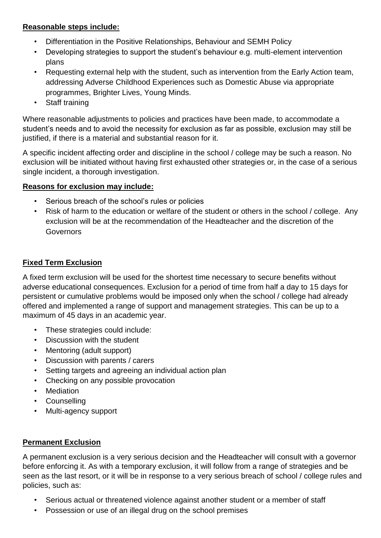### **Reasonable steps include:**

- Differentiation in the Positive Relationships, Behaviour and SEMH Policy
- Developing strategies to support the student's behaviour e.g. multi-element intervention plans
- Requesting external help with the student, such as intervention from the Early Action team, addressing Adverse Childhood Experiences such as Domestic Abuse via appropriate programmes, Brighter Lives, Young Minds.
- Staff training

Where reasonable adjustments to policies and practices have been made, to accommodate a student's needs and to avoid the necessity for exclusion as far as possible, exclusion may still be justified, if there is a material and substantial reason for it.

A specific incident affecting order and discipline in the school / college may be such a reason. No exclusion will be initiated without having first exhausted other strategies or, in the case of a serious single incident, a thorough investigation.

### **Reasons for exclusion may include:**

- Serious breach of the school's rules or policies
- Risk of harm to the education or welfare of the student or others in the school / college. Any exclusion will be at the recommendation of the Headteacher and the discretion of the **Governors**

# **Fixed Term Exclusion**

A fixed term exclusion will be used for the shortest time necessary to secure benefits without adverse educational consequences. Exclusion for a period of time from half a day to 15 days for persistent or cumulative problems would be imposed only when the school / college had already offered and implemented a range of support and management strategies. This can be up to a maximum of 45 days in an academic year.

- These strategies could include:
- Discussion with the student
- Mentoring (adult support)
- Discussion with parents / carers
- Setting targets and agreeing an individual action plan
- Checking on any possible provocation
- Mediation
- Counselling
- Multi-agency support

### **Permanent Exclusion**

A permanent exclusion is a very serious decision and the Headteacher will consult with a governor before enforcing it. As with a temporary exclusion, it will follow from a range of strategies and be seen as the last resort, or it will be in response to a very serious breach of school / college rules and policies, such as:

- Serious actual or threatened violence against another student or a member of staff
- Possession or use of an illegal drug on the school premises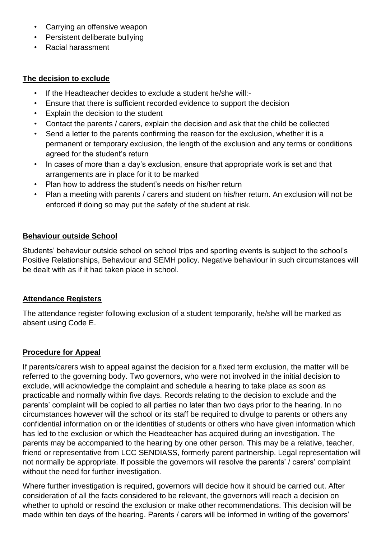- Carrying an offensive weapon
- Persistent deliberate bullying
- Racial harassment

#### **The decision to exclude**

- If the Headteacher decides to exclude a student he/she will:-
- Ensure that there is sufficient recorded evidence to support the decision
- Explain the decision to the student
- Contact the parents / carers, explain the decision and ask that the child be collected
- Send a letter to the parents confirming the reason for the exclusion, whether it is a permanent or temporary exclusion, the length of the exclusion and any terms or conditions agreed for the student's return
- In cases of more than a day's exclusion, ensure that appropriate work is set and that arrangements are in place for it to be marked
- Plan how to address the student's needs on his/her return
- Plan a meeting with parents / carers and student on his/her return. An exclusion will not be enforced if doing so may put the safety of the student at risk.

## **Behaviour outside School**

Students' behaviour outside school on school trips and sporting events is subject to the school's Positive Relationships, Behaviour and SEMH policy. Negative behaviour in such circumstances will be dealt with as if it had taken place in school.

### **Attendance Registers**

The attendance register following exclusion of a student temporarily, he/she will be marked as absent using Code E.

# **Procedure for Appeal**

If parents/carers wish to appeal against the decision for a fixed term exclusion, the matter will be referred to the governing body. Two governors, who were not involved in the initial decision to exclude, will acknowledge the complaint and schedule a hearing to take place as soon as practicable and normally within five days. Records relating to the decision to exclude and the parents' complaint will be copied to all parties no later than two days prior to the hearing. In no circumstances however will the school or its staff be required to divulge to parents or others any confidential information on or the identities of students or others who have given information which has led to the exclusion or which the Headteacher has acquired during an investigation. The parents may be accompanied to the hearing by one other person. This may be a relative, teacher, friend or representative from LCC SENDIASS, formerly parent partnership. Legal representation will not normally be appropriate. If possible the governors will resolve the parents' / carers' complaint without the need for further investigation.

Where further investigation is required, governors will decide how it should be carried out. After consideration of all the facts considered to be relevant, the governors will reach a decision on whether to uphold or rescind the exclusion or make other recommendations. This decision will be made within ten days of the hearing. Parents / carers will be informed in writing of the governors'